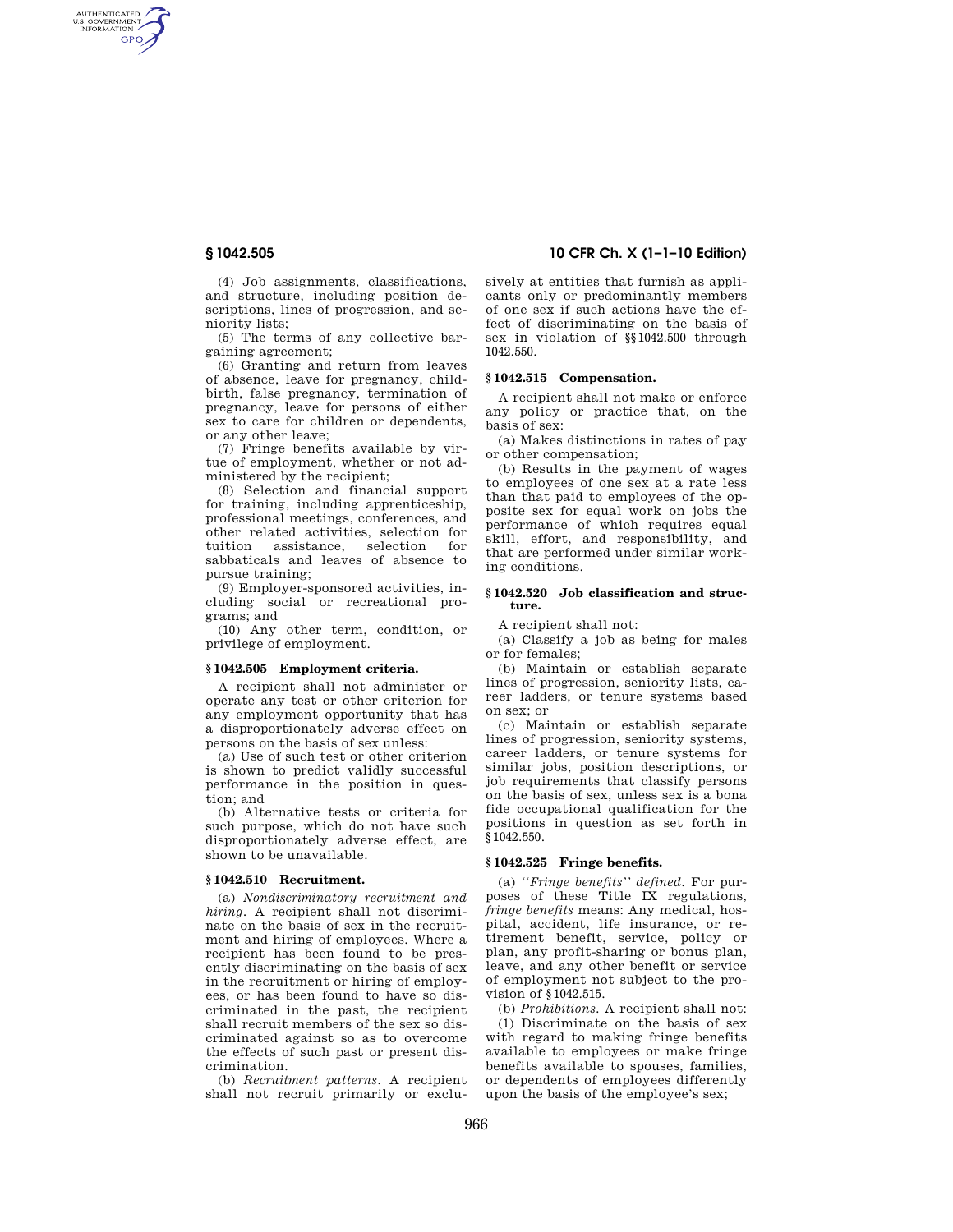AUTHENTICATED<br>U.S. GOVERNMENT<br>INFORMATION **GPO** 

> (4) Job assignments, classifications, and structure, including position descriptions, lines of progression, and seniority lists;

> (5) The terms of any collective bargaining agreement;

> (6) Granting and return from leaves of absence, leave for pregnancy, childbirth, false pregnancy, termination of pregnancy, leave for persons of either sex to care for children or dependents, or any other leave;

> (7) Fringe benefits available by virtue of employment, whether or not administered by the recipient;

(8) Selection and financial support for training, including apprenticeship, professional meetings, conferences, and other related activities, selection for tuition assistance, selection for sabbaticals and leaves of absence to pursue training;

(9) Employer-sponsored activities, including social or recreational programs; and

(10) Any other term, condition, or privilege of employment.

# **§ 1042.505 Employment criteria.**

A recipient shall not administer or operate any test or other criterion for any employment opportunity that has a disproportionately adverse effect on persons on the basis of sex unless:

(a) Use of such test or other criterion is shown to predict validly successful performance in the position in question; and

(b) Alternative tests or criteria for such purpose, which do not have such disproportionately adverse effect, are shown to be unavailable.

#### **§ 1042.510 Recruitment.**

(a) *Nondiscriminatory recruitment and hiring.* A recipient shall not discriminate on the basis of sex in the recruitment and hiring of employees. Where a recipient has been found to be presently discriminating on the basis of sex in the recruitment or hiring of employees, or has been found to have so discriminated in the past, the recipient shall recruit members of the sex so discriminated against so as to overcome the effects of such past or present discrimination.

(b) *Recruitment patterns.* A recipient shall not recruit primarily or exclu-

# **§ 1042.505 10 CFR Ch. X (1–1–10 Edition)**

sively at entities that furnish as applicants only or predominantly members of one sex if such actions have the effect of discriminating on the basis of sex in violation of §§1042.500 through 1042.550.

# **§ 1042.515 Compensation.**

A recipient shall not make or enforce any policy or practice that, on the basis of sex:

(a) Makes distinctions in rates of pay or other compensation;

(b) Results in the payment of wages to employees of one sex at a rate less than that paid to employees of the opposite sex for equal work on jobs the performance of which requires equal skill, effort, and responsibility, and that are performed under similar working conditions.

#### **§ 1042.520 Job classification and structure.**

A recipient shall not:

(a) Classify a job as being for males or for females;

(b) Maintain or establish separate lines of progression, seniority lists, career ladders, or tenure systems based on sex; or

(c) Maintain or establish separate lines of progression, seniority systems, career ladders, or tenure systems for similar jobs, position descriptions, or job requirements that classify persons on the basis of sex, unless sex is a bona fide occupational qualification for the positions in question as set forth in §1042.550.

## **§ 1042.525 Fringe benefits.**

(a) *''Fringe benefits'' defined.* For purposes of these Title IX regulations, *fringe benefits* means: Any medical, hospital, accident, life insurance, or retirement benefit, service, policy or plan, any profit-sharing or bonus plan, leave, and any other benefit or service of employment not subject to the provision of §1042.515.

(b) *Prohibitions.* A recipient shall not: (1) Discriminate on the basis of sex with regard to making fringe benefits available to employees or make fringe benefits available to spouses, families, or dependents of employees differently upon the basis of the employee's sex;